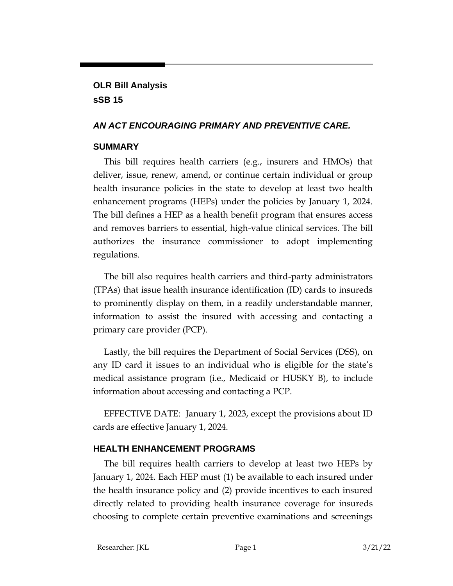# **OLR Bill Analysis sSB 15**

## *AN ACT ENCOURAGING PRIMARY AND PREVENTIVE CARE.*

### **SUMMARY**

This bill requires health carriers (e.g., insurers and HMOs) that deliver, issue, renew, amend, or continue certain individual or group health insurance policies in the state to develop at least two health enhancement programs (HEPs) under the policies by January 1, 2024. The bill defines a HEP as a health benefit program that ensures access and removes barriers to essential, high-value clinical services. The bill authorizes the insurance commissioner to adopt implementing regulations.

The bill also requires health carriers and third-party administrators (TPAs) that issue health insurance identification (ID) cards to insureds to prominently display on them, in a readily understandable manner, information to assist the insured with accessing and contacting a primary care provider (PCP).

Lastly, the bill requires the Department of Social Services (DSS), on any ID card it issues to an individual who is eligible for the state's medical assistance program (i.e., Medicaid or HUSKY B), to include information about accessing and contacting a PCP.

EFFECTIVE DATE: January 1, 2023, except the provisions about ID cards are effective January 1, 2024.

## **HEALTH ENHANCEMENT PROGRAMS**

The bill requires health carriers to develop at least two HEPs by January 1, 2024. Each HEP must (1) be available to each insured under the health insurance policy and (2) provide incentives to each insured directly related to providing health insurance coverage for insureds choosing to complete certain preventive examinations and screenings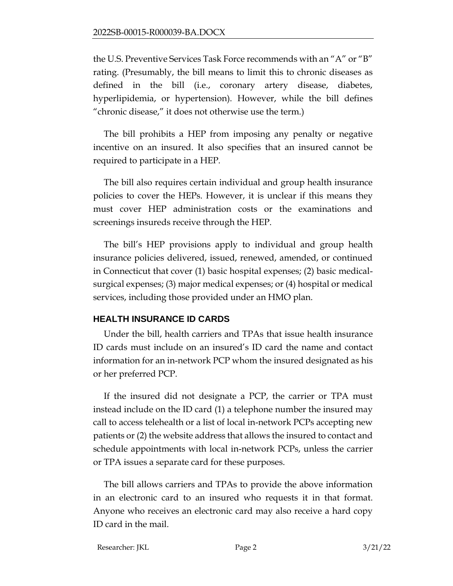the U.S. Preventive Services Task Force recommends with an "A" or "B" rating. (Presumably, the bill means to limit this to chronic diseases as defined in the bill (i.e., coronary artery disease, diabetes, hyperlipidemia, or hypertension). However, while the bill defines "chronic disease," it does not otherwise use the term.)

The bill prohibits a HEP from imposing any penalty or negative incentive on an insured. It also specifies that an insured cannot be required to participate in a HEP.

The bill also requires certain individual and group health insurance policies to cover the HEPs. However, it is unclear if this means they must cover HEP administration costs or the examinations and screenings insureds receive through the HEP.

The bill's HEP provisions apply to individual and group health insurance policies delivered, issued, renewed, amended, or continued in Connecticut that cover (1) basic hospital expenses; (2) basic medicalsurgical expenses; (3) major medical expenses; or (4) hospital or medical services, including those provided under an HMO plan.

### **HEALTH INSURANCE ID CARDS**

Under the bill, health carriers and TPAs that issue health insurance ID cards must include on an insured's ID card the name and contact information for an in-network PCP whom the insured designated as his or her preferred PCP.

If the insured did not designate a PCP, the carrier or TPA must instead include on the ID card (1) a telephone number the insured may call to access telehealth or a list of local in-network PCPs accepting new patients or (2) the website address that allows the insured to contact and schedule appointments with local in-network PCPs, unless the carrier or TPA issues a separate card for these purposes.

The bill allows carriers and TPAs to provide the above information in an electronic card to an insured who requests it in that format. Anyone who receives an electronic card may also receive a hard copy ID card in the mail.